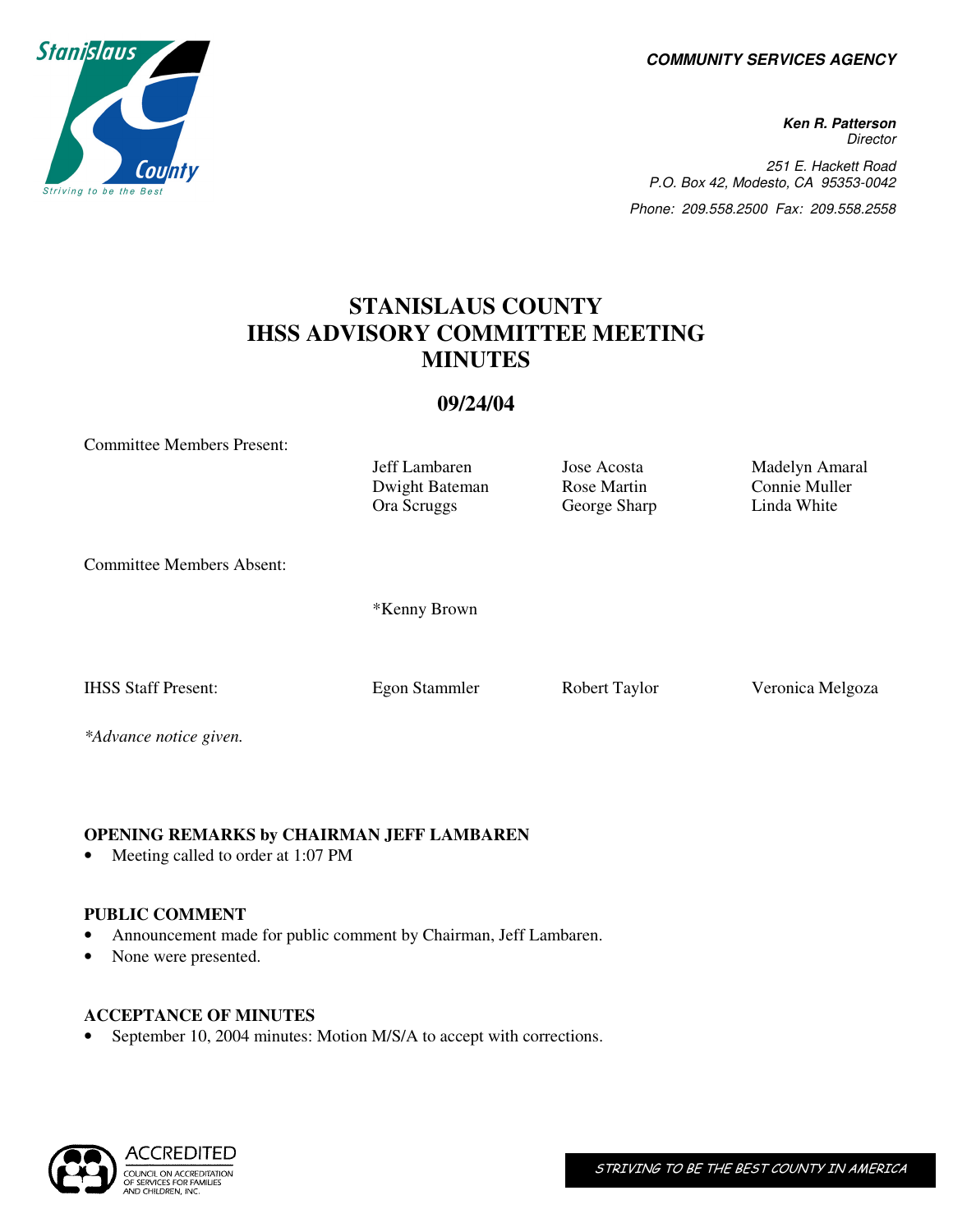**COMMUNITY SERVICES AGENCY** 

**Ken R. Patterson Director** 251 E. Hackett Road P.O. Box 42, Modesto, CA 95353-0042 Phone: 209.558.2500 Fax: 209.558.2558

# **STANISLAUS COUNTY IHSS ADVISORY COMMITTEE MEETING MINUTES**

## **09/24/04**

Committee Members Present: Jeff Lambaren Jose Acosta Madelyn Amaral Dwight Bateman Rose Martin Connie Muller Ora Scruggs George Sharp Linda White Committee Members Absent: \*Kenny Brown IHSS Staff Present: Egon Stammler Robert Taylor Veronica Melgoza *\*Advance notice given.* 

#### **OPENING REMARKS by CHAIRMAN JEFF LAMBAREN**

• Meeting called to order at 1:07 PM

#### **PUBLIC COMMENT**

- Announcement made for public comment by Chairman, Jeff Lambaren.
- None were presented.

#### **ACCEPTANCE OF MINUTES**

September 10, 2004 minutes: Motion M/S/A to accept with corrections.



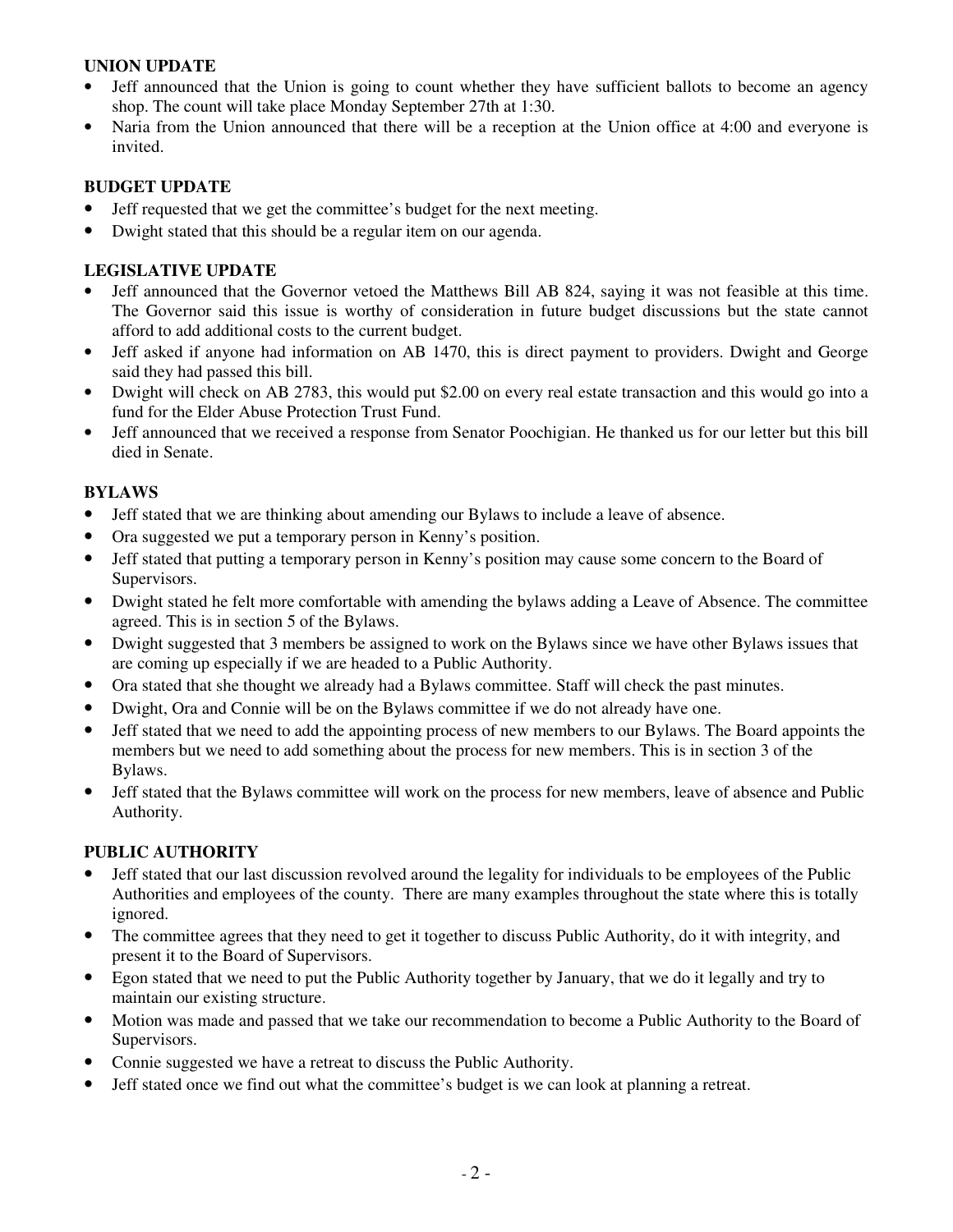## **UNION UPDATE**

- Jeff announced that the Union is going to count whether they have sufficient ballots to become an agency shop. The count will take place Monday September 27th at 1:30.
- Naria from the Union announced that there will be a reception at the Union office at 4:00 and everyone is invited.

## **BUDGET UPDATE**

- Jeff requested that we get the committee's budget for the next meeting.
- Dwight stated that this should be a regular item on our agenda.

## **LEGISLATIVE UPDATE**

- Jeff announced that the Governor vetoed the Matthews Bill AB 824, saying it was not feasible at this time. The Governor said this issue is worthy of consideration in future budget discussions but the state cannot afford to add additional costs to the current budget.
- Jeff asked if anyone had information on AB 1470, this is direct payment to providers. Dwight and George said they had passed this bill.
- Dwight will check on AB 2783, this would put \$2.00 on every real estate transaction and this would go into a fund for the Elder Abuse Protection Trust Fund.
- Jeff announced that we received a response from Senator Poochigian. He thanked us for our letter but this bill died in Senate.

## **BYLAWS**

- Jeff stated that we are thinking about amending our Bylaws to include a leave of absence.
- Ora suggested we put a temporary person in Kenny's position.
- Jeff stated that putting a temporary person in Kenny's position may cause some concern to the Board of Supervisors.
- Dwight stated he felt more comfortable with amending the bylaws adding a Leave of Absence. The committee agreed. This is in section 5 of the Bylaws.
- Dwight suggested that 3 members be assigned to work on the Bylaws since we have other Bylaws issues that are coming up especially if we are headed to a Public Authority.
- Ora stated that she thought we already had a Bylaws committee. Staff will check the past minutes.
- Dwight, Ora and Connie will be on the Bylaws committee if we do not already have one.
- Jeff stated that we need to add the appointing process of new members to our Bylaws. The Board appoints the members but we need to add something about the process for new members. This is in section 3 of the Bylaws.
- Jeff stated that the Bylaws committee will work on the process for new members, leave of absence and Public Authority.

#### **PUBLIC AUTHORITY**

- Jeff stated that our last discussion revolved around the legality for individuals to be employees of the Public Authorities and employees of the county. There are many examples throughout the state where this is totally ignored.
- The committee agrees that they need to get it together to discuss Public Authority, do it with integrity, and present it to the Board of Supervisors.
- Egon stated that we need to put the Public Authority together by January, that we do it legally and try to maintain our existing structure.
- Motion was made and passed that we take our recommendation to become a Public Authority to the Board of Supervisors.
- Connie suggested we have a retreat to discuss the Public Authority.
- Jeff stated once we find out what the committee's budget is we can look at planning a retreat.